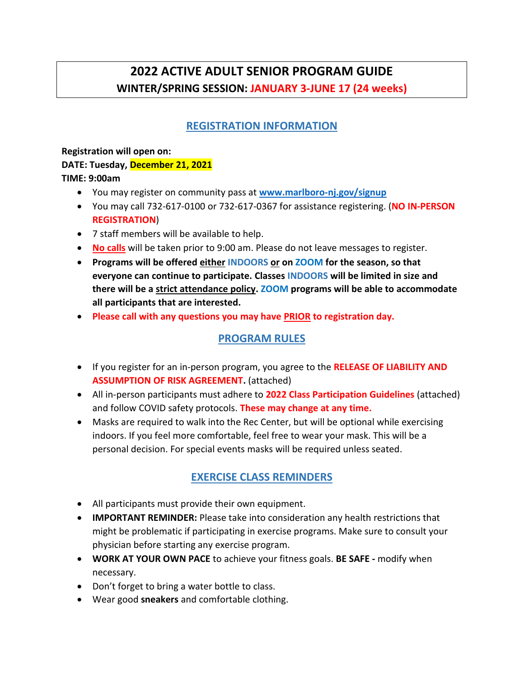# **2022 ACTIVE ADULT SENIOR PROGRAM GUIDE WINTER/SPRING SESSION: JANUARY 3-JUNE 17 (24 weeks)**

# **REGISTRATION INFORMATION**

**Registration will open on: DATE: Tuesday, December 21, 2021 TIME: 9:00am**

- You may register on community pass at **[www.marlboro-nj.gov/signup](http://www.marlboro-nj.gov/signup)**
- You may call 732-617-0100 or 732-617-0367 for assistance registering. (**NO IN-PERSON REGISTRATION**)
- 7 staff members will be available to help.
- **No calls** will be taken prior to 9:00 am. Please do not leave messages to register.
- **Programs will be offered either INDOORS or on ZOOM for the season, so that everyone can continue to participate. Classes INDOORS will be limited in size and there will be a strict attendance policy. ZOOM programs will be able to accommodate all participants that are interested.**
- **Please call with any questions you may have PRIOR to registration day.**

## **PROGRAM RULES**

- If you register for an in-person program, you agree to the **RELEASE OF LIABILITY AND ASSUMPTION OF RISK AGREEMENT.** (attached)
- All in-person participants must adhere to **2022 Class Participation Guidelines** (attached) and follow COVID safety protocols. **These may change at any time.**
- Masks are required to walk into the Rec Center, but will be optional while exercising indoors. If you feel more comfortable, feel free to wear your mask. This will be a personal decision. For special events masks will be required unless seated.

## **EXERCISE CLASS REMINDERS**

- All participants must provide their own equipment.
- **IMPORTANT REMINDER:** Please take into consideration any health restrictions that might be problematic if participating in exercise programs. Make sure to consult your physician before starting any exercise program.
- **WORK AT YOUR OWN PACE** to achieve your fitness goals. **BE SAFE -** modify when necessary.
- Don't forget to bring a water bottle to class.
- Wear good **sneakers** and comfortable clothing.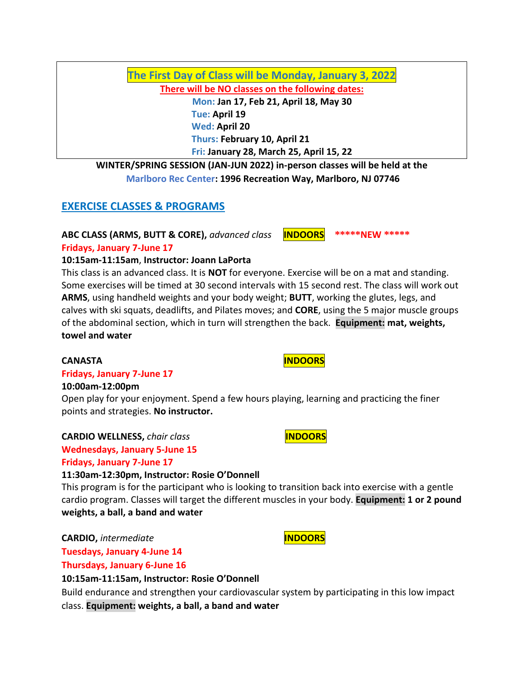**The First Day of Class will be Monday, January 3, 2022**

**There will be NO classes on the following dates: Mon: Jan 17, Feb 21, April 18, May 30**

 **Tue: April 19 Wed: April 20 Thurs: February 10, April 21 Fri: January 28, March 25, April 15, 22**

**WINTER/SPRING SESSION (JAN-JUN 2022) in-person classes will be held at the Marlboro Rec Center: 1996 Recreation Way, Marlboro, NJ 07746**

# **EXERCISE CLASSES & PROGRAMS**

**ABC CLASS (ARMS, BUTT & CORE),** *advanced class* **INDOORS \*\*\*\*\*NEW \*\*\*\*\***

**Fridays, January 7-June 17**

## **10:15am-11:15am**, **Instructor: Joann LaPorta**

This class is an advanced class. It is **NOT** for everyone. Exercise will be on a mat and standing. Some exercises will be timed at 30 second intervals with 15 second rest. The class will work out **ARMS**, using handheld weights and your body weight; **BUTT**, working the glutes, legs, and calves with ski squats, deadlifts, and Pilates moves; and **CORE**, using the 5 major muscle groups of the abdominal section, which in turn will strengthen the back. **Equipment: mat, weights, towel and water**

#### **Fridays, January 7-June 17**

#### **10:00am-12:00pm**

Open play for your enjoyment. Spend a few hours playing, learning and practicing the finer points and strategies. **No instructor.**

**CARDIO WELLNESS,** *chair class* **INDOORS Wednesdays, January 5-June 15**

## **Fridays, January 7-June 17**

## **11:30am-12:30pm, Instructor: Rosie O'Donnell**

This program is for the participant who is looking to transition back into exercise with a gentle cardio program. Classes will target the different muscles in your body. **Equipment: 1 or 2 pound weights, a ball, a band and water**

**CARDIO,** *intermediate* **INDOORS** 

**Tuesdays, January 4-June 14**

**Thursdays, January 6-June 16**

## **10:15am-11:15am, Instructor: Rosie O'Donnell**

Build endurance and strengthen your cardiovascular system by participating in this low impact class. **Equipment: weights, a ball, a band and water**

**CANASTA INDOORS**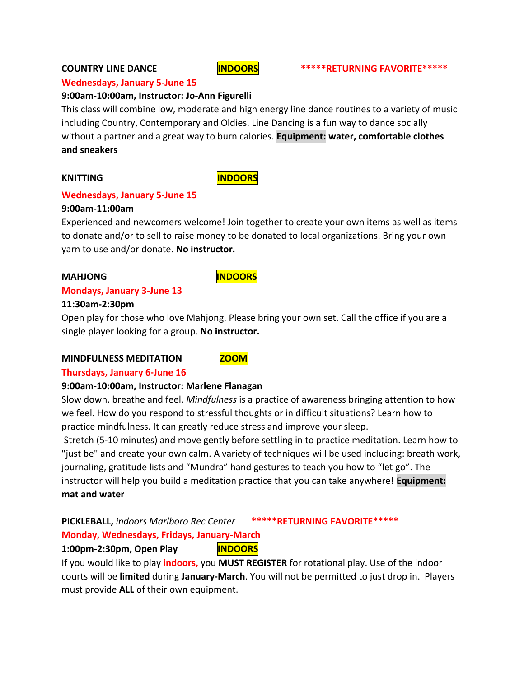### **Wednesdays, January 5-June 15**

## **9:00am-10:00am, Instructor: Jo-Ann Figurelli**

This class will combine low, moderate and high energy line dance routines to a variety of music including Country, Contemporary and Oldies. Line Dancing is a fun way to dance socially without a partner and a great way to burn calories. **Equipment: water, comfortable clothes and sneakers**

## **KNITTING INDOORS**

## **Wednesdays, January 5-June 15**

#### **9:00am-11:00am**

Experienced and newcomers welcome! Join together to create your own items as well as items to donate and/or to sell to raise money to be donated to local organizations. Bring your own yarn to use and/or donate. **No instructor.**

### **MAHJONG INDOORS**

### **Mondays, January 3-June 13**

#### **11:30am-2:30pm**

Open play for those who love Mahjong. Please bring your own set. Call the office if you are a single player looking for a group. **No instructor.**

#### **MINDFULNESS MEDITATION ZOOM**



## **Thursdays, January 6-June 16**

## **9:00am-10:00am, Instructor: Marlene Flanagan**

Slow down, breathe and feel. *Mindfulness* is a practice of awareness bringing attention to how we feel. How do you respond to stressful thoughts or in difficult situations? Learn how to practice mindfulness. It can greatly reduce stress and improve your sleep.

Stretch (5-10 minutes) and move gently before settling in to practice meditation. Learn how to "just be" and create your own calm. A variety of techniques will be used including: breath work, journaling, gratitude lists and "Mundra" hand gestures to teach you how to "let go". The instructor will help you build a meditation practice that you can take anywhere! **Equipment: mat and water** 

## **PICKLEBALL,** *indoors Marlboro Rec Center* **\*\*\*\*\*RETURNING FAVORITE\*\*\*\*\***

## **Monday, Wednesdays, Fridays, January-March**

## **1:00pm-2:30pm, Open Play INDOORS**

If you would like to play **indoors,** you **MUST REGISTER** for rotational play. Use of the indoor courts will be **limited** during **January-March**. You will not be permitted to just drop in. Players must provide **ALL** of their own equipment.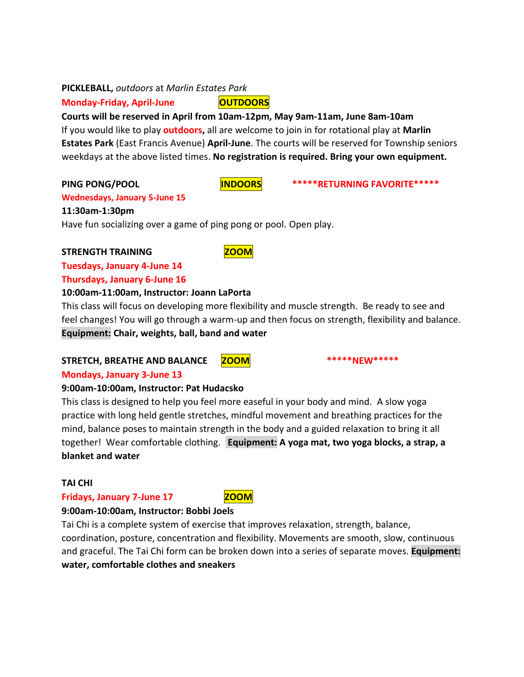### **PICKLEBALL,** *outdoors* at *Marlin Estates Park*

**Monday-Friday, April-June | OUTDOORS** 

**Courts will be reserved in April from 10am-12pm, May 9am-11am, June 8am-10am** If you would like to play **outdoors,** all are welcome to join in for rotational play at **Marlin Estates Park** (East Francis Avenue) **April-June**. The courts will be reserved for Township seniors weekdays at the above listed times. **No registration is required. Bring your own equipment.**

PING PONG/POOL **INDOORS** \*\*\*\*\*RETURNING FAVORITE\*\*\*\*\*

## **Wednesdays, January 5-June 15 11:30am-1:30pm**

Have fun socializing over a game of ping pong or pool. Open play.

## **STRENGTH TRAINING COOM**

# **Tuesdays, January 4-June 14**

**Thursdays, January 6-June 16**

### **10:00am-11:00am, Instructor: Joann LaPorta**

This class will focus on developing more flexibility and muscle strength. Be ready to see and feel changes! You will go through a warm-up and then focus on strength, flexibility and balance. **Equipment: Chair, weights, ball, band and water**

## STRETCH, BREATHE AND BALANCE **ZOOM** \*\*\*\*\*NEW\*\*\*\*\*

## **Mondays, January 3-June 13**

## **9:00am-10:00am, Instructor: Pat Hudacsko**

This class is designed to help you feel more easeful in your body and mind. A slow yoga practice with long held gentle stretches, mindful movement and breathing practices for the mind, balance poses to maintain strength in the body and a guided relaxation to bring it all together! Wear comfortable clothing. **Equipment: A yoga mat, two yoga blocks, a strap, a blanket and water**

## **TAI CHI**

## **Fridays, January 7-June 17** ZOOM

## **9:00am-10:00am, Instructor: Bobbi Joels**

Tai Chi is a complete system of exercise that improves relaxation, strength, balance, coordination, posture, concentration and flexibility. Movements are smooth, slow, continuous and graceful. The Tai Chi form can be broken down into a series of separate moves. **Equipment: water, comfortable clothes and sneakers**



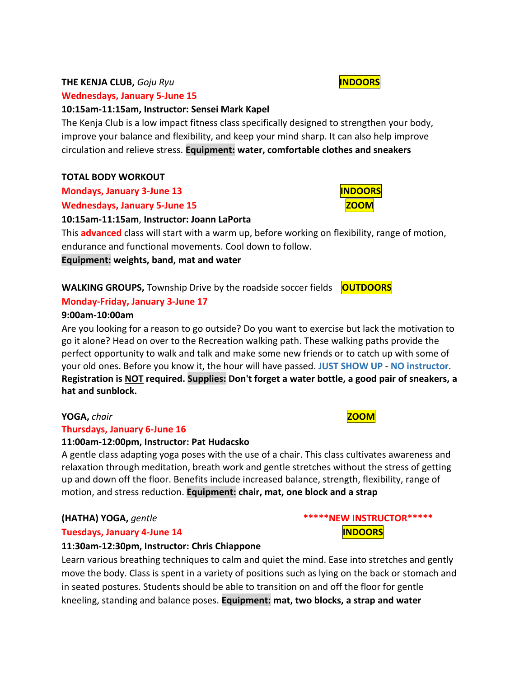### **THE KENJA CLUB,** *Goju Ryu* **INDOORS**

### **Wednesdays, January 5-June 15**

## **10:15am-11:15am, Instructor: Sensei Mark Kapel**

The Kenja Club is a low impact fitness class specifically designed to strengthen your body, improve your balance and flexibility, and keep your mind sharp. It can also help improve circulation and relieve stress. **Equipment: water, comfortable clothes and sneakers**

### **TOTAL BODY WORKOUT**

**Mondays, January 3-June 13 IMPOORS** 

**Wednesdays, January 5-June 15 Manual Property 2001** 

### **10:15am-11:15am**, **Instructor: Joann LaPorta**

This **advanced** class will start with a warm up, before working on flexibility, range of motion, endurance and functional movements. Cool down to follow.

**Equipment: weights, band, mat and water**

**WALKING GROUPS,** Township Drive by the roadside soccer fields **OUTDOORS**

## **Monday-Friday, January 3-June 17**

### **9:00am-10:00am**

Are you looking for a reason to go outside? Do you want to exercise but lack the motivation to go it alone? Head on over to the Recreation walking path. These walking paths provide the perfect opportunity to walk and talk and make some new friends or to catch up with some of your old ones. Before you know it, the hour will have passed. **JUST SHOW UP** - **NO instructor**. **Registration is NOT required. Supplies: Don't forget a water bottle, a good pair of sneakers, a hat and sunblock.**

## **YOGA, chair <b>***ZOOM*

## **Thursdays, January 6-June 16**

## **11:00am-12:00pm, Instructor: Pat Hudacsko**

A gentle class adapting yoga poses with the use of a chair. This class cultivates awareness and relaxation through meditation, breath work and gentle stretches without the stress of getting up and down off the floor. Benefits include increased balance, strength, flexibility, range of motion, and stress reduction. **Equipment: chair, mat, one block and a strap**

## **Tuesdays, January 4-June 14 Interval Contract Contract Contract Contract Contract Contract Contract Contract Contract Contract Contract Contract Contract Contract Contract Contract Contract Contract Contract Contract Co**

#### **11:30am-12:30pm, Instructor: Chris Chiappone**

Learn various breathing techniques to calm and quiet the mind. Ease into stretches and gently move the body. Class is spent in a variety of positions such as lying on the back or stomach and in seated postures. Students should be able to transition on and off the floor for gentle kneeling, standing and balance poses. **Equipment: mat, two blocks, a strap and water**

**(HATHA) YOGA,** *gentle* **\*\*\*\*\*NEW INSTRUCTOR\*\*\*\*\***





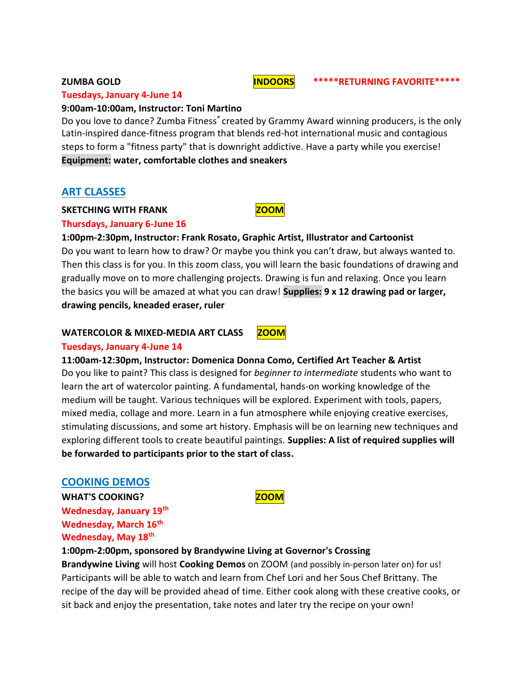#### **Tuesdays, January 4-June 14**

### **9:00am-10:00am, Instructor: Toni Martino**

Do you love to dance? Zumba Fitness® created by Grammy Award winning producers, is the only Latin-inspired dance-fitness program that blends red-hot international music and contagious steps to form a "fitness party" that is downright addictive. Have a party while you exercise! **Equipment: water, comfortable clothes and sneakers**

## **ART CLASSES**

#### **SKETCHING WITH FRANK CONDUCTER AND RESERVE THE RESERVE THE RANGE IN THE RESERVE THE RESERVE THE RESERVE THE RESERVE THE RESERVE THE RESERVE THE RESERVE THE RESERVE THE RESERVE THE RESERVE THE RESERVE THE RESERVE THE RESER**

### **Thursdays, January 6-June 16**

**1:00pm-2:30pm, Instructor: Frank Rosato, Graphic Artist, Illustrator and Cartoonist** Do you want to learn how to draw? Or maybe you think you can't draw, but always wanted to. Then this class is for you. In this zoom class, you will learn the basic foundations of drawing and gradually move on to more challenging projects. Drawing is fun and relaxing. Once you learn the basics you will be amazed at what you can draw! **Supplies: 9 x 12 drawing pad or larger, drawing pencils, kneaded eraser, ruler** 

#### **WATERCOLOR & MIXED-MEDIA ART CLASS ZOOM**

#### **Tuesdays, January 4-June 14**

**11:00am-12:30pm, Instructor: Domenica Donna Como, Certified Art Teacher & Artist** Do you like to paint? This class is designed for *beginner to intermediate* students who want to learn the art of watercolor painting. A fundamental, hands-on working knowledge of the medium will be taught. Various techniques will be explored. Experiment with tools, papers, mixed media, collage and more. Learn in a fun atmosphere while enjoying creative exercises, stimulating discussions, and some art history. Emphasis will be on learning new techniques and exploring different tools to create beautiful paintings. **Supplies: A list of required supplies will be forwarded to participants prior to the start of class.**

## **COOKING DEMOS**

WHAT'S COOKING? **WHAT'S COOKING? Wednesday, January 19th Wednesday, March 16th Wednesday, May 18th**

**1:00pm-2:00pm, sponsored by Brandywine Living at Governor's Crossing**

**Brandywine Living** will host **Cooking Demos** on ZOOM (and possibly in-person later on) for us! Participants will be able to watch and learn from Chef Lori and her Sous Chef Brittany. The recipe of the day will be provided ahead of time. Either cook along with these creative cooks, or sit back and enjoy the presentation, take notes and later try the recipe on your own!







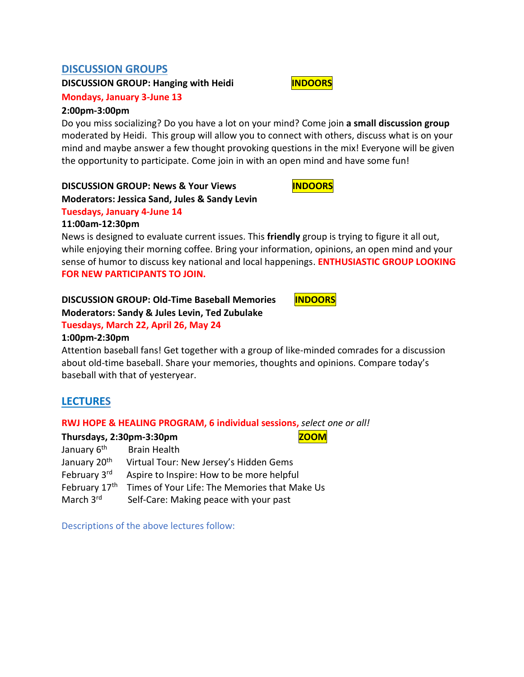## **DISCUSSION GROUPS**

**DISCUSSION GROUP:** Hanging with Heidi **<b>INDOORS** 

**Mondays, January 3-June 13**

#### **2:00pm-3:00pm**

Do you miss socializing? Do you have a lot on your mind? Come join **a small discussion group** moderated by Heidi. This group will allow you to connect with others, discuss what is on your mind and maybe answer a few thought provoking questions in the mix! Everyone will be given the opportunity to participate. Come join in with an open mind and have some fun!

#### **DISCUSSION GROUP: News & Your Views INDOORS Moderators: Jessica Sand, Jules & Sandy Levin**

## **Tuesdays, January 4-June 14**

#### **11:00am-12:30pm**

News is designed to evaluate current issues. This **friendly** group is trying to figure it all out, while enjoying their morning coffee. Bring your information, opinions, an open mind and your sense of humor to discuss key national and local happenings. **ENTHUSIASTIC GROUP LOOKING FOR NEW PARTICIPANTS TO JOIN.**

## **DISCUSSION GROUP: Old-Time Baseball Memories | INDOORS**

## **Moderators: Sandy & Jules Levin, Ted Zubulake**

#### **Tuesdays, March 22, April 26, May 24**

### **1:00pm-2:30pm**

Attention baseball fans! Get together with a group of like-minded comrades for a discussion about old-time baseball. Share your memories, thoughts and opinions. Compare today's baseball with that of yesteryear.

## **LECTURES**

#### **RWJ HOPE & HEALING PROGRAM, 6 individual sessions,** *select one or all!*

#### **Thursdays. 2:30pm-3:30pm ZOOM**

| January 6 <sup>th</sup>  | <b>Brain Health</b>                           |
|--------------------------|-----------------------------------------------|
| January 20 <sup>th</sup> | Virtual Tour: New Jersey's Hidden Gems        |
| February 3rd             | Aspire to Inspire: How to be more helpful     |
| February 17th            | Times of Your Life: The Memories that Make Us |
| March 3rd                | Self-Care: Making peace with your past        |

Descriptions of the above lectures follow: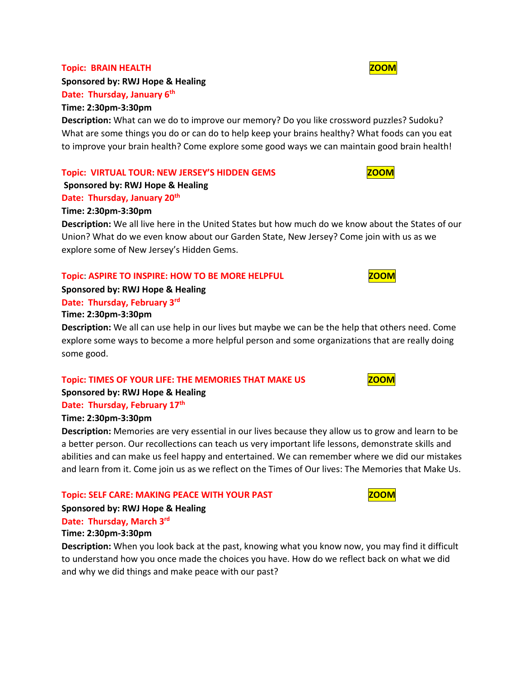#### **Topic: BRAIN HEALTH WAS SERVED ASSESSED ASSOCIATE** A STATE OF THE SERVED ON A STATE OF THE STATE OF THE STATE OF TH

**Sponsored by: RWJ Hope & Healing**

#### **Date: Thursday, January 6th Time: 2:30pm-3:30pm**

**Description:** What can we do to improve our memory? Do you like crossword puzzles? Sudoku? What are some things you do or can do to help keep your brains healthy? What foods can you eat to improve your brain health? Come explore some good ways we can maintain good brain health!

#### **Topic: VIRTUAL TOUR: NEW JERSEY'S HIDDEN GEMS**

### **Sponsored by: RWJ Hope & Healing**

#### **Date: Thursday, January 20th**

#### **Time: 2:30pm-3:30pm**

**Description:** We all live here in the United States but how much do we know about the States of our Union? What do we even know about our Garden State, New Jersey? Come join with us as we explore some of New Jersey's Hidden Gems.

#### **Topic**: **ASPIRE TO INSPIRE: HOW TO BE MORE HELPFUL ZOOM**

**Sponsored by: RWJ Hope & Healing**

#### **Date: Thursday, February 3rd**

#### **Time: 2:30pm-3:30pm**

**Description:** We all can use help in our lives but maybe we can be the help that others need. Come explore some ways to become a more helpful person and some organizations that are really doing some good.

#### **Topic: TIMES OF YOUR LIFE: THE MEMORIES THAT MAKE US <b>EXAMPLE 200M**

**Sponsored by: RWJ Hope & Healing**

#### **Date: Thursday, February 17th**

#### **Time: 2:30pm-3:30pm**

**Description:** Memories are very essential in our lives because they allow us to grow and learn to be a better person. Our recollections can teach us very important life lessons, demonstrate skills and abilities and can make us feel happy and entertained. We can remember where we did our mistakes and learn from it. Come join us as we reflect on the Times of Our lives: The Memories that Make Us.

#### **Topic: SELF CARE: MAKING PEACE WITH YOUR PAST <b>The SELF OF ALSO ASSESS**

**Sponsored by: RWJ Hope & Healing**

## **Date: Thursday, March 3rd**

#### **Time: 2:30pm-3:30pm**

**Description:** When you look back at the past, knowing what you know now, you may find it difficult to understand how you once made the choices you have. How do we reflect back on what we did and why we did things and make peace with our past?

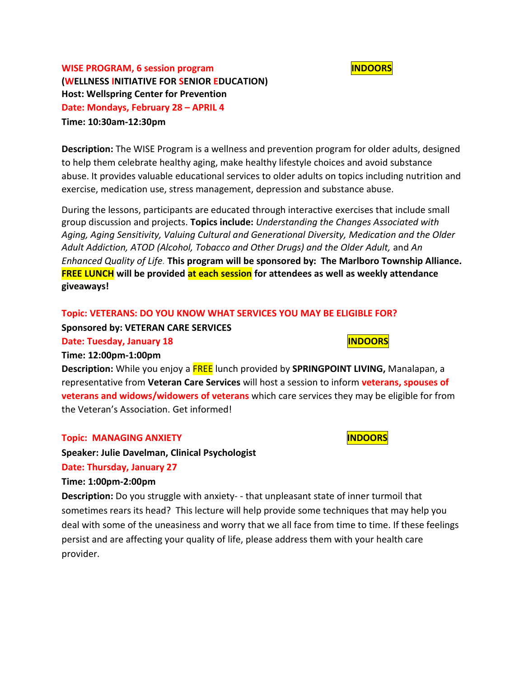

**WISE PROGRAM, 6 session program INDOORS (WELLNESS INITIATIVE FOR SENIOR EDUCATION) Host: Wellspring Center for Prevention Date: Mondays, February 28 – APRIL 4 Time: 10:30am-12:30pm**

**Description:** The WISE Program is a wellness and prevention program for older adults, designed to help them celebrate healthy aging, make healthy lifestyle choices and avoid substance abuse. It provides valuable educational services to older adults on topics including nutrition and exercise, medication use, stress management, depression and substance abuse.

During the lessons, participants are educated through interactive exercises that include small group discussion and projects. **Topics include:** *Understanding the Changes Associated with Aging, Aging Sensitivity, Valuing Cultural and Generational Diversity, Medication and the Older Adult Addiction, ATOD (Alcohol, Tobacco and Other Drugs) and the Older Adult,* and *An Enhanced Quality of Life.* **This program will be sponsored by: The Marlboro Township Alliance. FREE LUNCH will be provided at each session for attendees as well as weekly attendance giveaways!** 

#### **Topic: VETERANS: DO YOU KNOW WHAT SERVICES YOU MAY BE ELIGIBLE FOR?**

**Sponsored by: VETERAN CARE SERVICES** 

**Date: Tuesday, January 18 INDOORS** 

#### **Time: 12:00pm-1:00pm**

**Description:** While you enjoy a FREE lunch provided by **SPRINGPOINT LIVING,** Manalapan, a representative from **Veteran Care Services** will host a session to inform **veterans, spouses of veterans and widows/widowers of veterans** which care services they may be eligible for from the Veteran's Association. Get informed!

#### **Topic: MANAGING ANXIETY INDOORS**

**Speaker: Julie Davelman, Clinical Psychologist**

#### **Date: Thursday, January 27**

#### **Time: 1:00pm-2:00pm**

**Description:** Do you struggle with anxiety- - that unpleasant state of inner turmoil that sometimes rears its head? This lecture will help provide some techniques that may help you deal with some of the uneasiness and worry that we all face from time to time. If these feelings persist and are affecting your quality of life, please address them with your health care provider.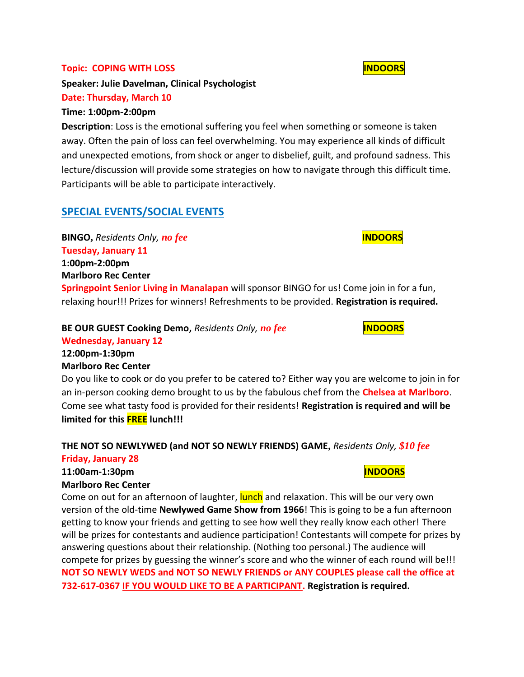#### **Topic: COPING WITH LOSS INDOORS**

**Speaker: Julie Davelman, Clinical Psychologist**

## **Date: Thursday, March 10**

## **Time: 1:00pm-2:00pm**

**Description**: Loss is the emotional suffering you feel when something or someone is taken away. Often the pain of loss can feel overwhelming. You may experience all kinds of difficult and unexpected emotions, from shock or anger to disbelief, guilt, and profound sadness. This lecture/discussion will provide some strategies on how to navigate through this difficult time. Participants will be able to participate interactively.

# **SPECIAL EVENTS/SOCIAL EVENTS**

**BINGO,** *Residents Only, no fee* **INDOORS Tuesday, January 11 1:00pm-2:00pm Marlboro Rec Center**

**Springpoint Senior Living in Manalapan** will sponsor BINGO for us! Come join in for a fun, relaxing hour!!! Prizes for winners! Refreshments to be provided. **Registration is required.**

## **BE OUR GUEST Cooking Demo,** *Residents Only, no fee* **INDOORS Wednesday, January 12**

**12:00pm-1:30pm Marlboro Rec Center**

Do you like to cook or do you prefer to be catered to? Either way you are welcome to join in for an in-person cooking demo brought to us by the fabulous chef from the **Chelsea at Marlboro**. Come see what tasty food is provided for their residents! **Registration is required and will be limited for this FREE lunch!!!**

# **THE NOT SO NEWLYWED (and NOT SO NEWLY FRIENDS) GAME,** *Residents Only, \$10 fee*

## **Friday, January 28**

# **11:00am-1:30pm INDOORS**

## **Marlboro Rec Center**

Come on out for an afternoon of laughter, **lunch** and relaxation. This will be our very own version of the old-time **Newlywed Game Show from 1966**! This is going to be a fun afternoon getting to know your friends and getting to see how well they really know each other! There will be prizes for contestants and audience participation! Contestants will compete for prizes by answering questions about their relationship. (Nothing too personal.) The audience will compete for prizes by guessing the winner's score and who the winner of each round will be!!! **NOT SO NEWLY WEDS and NOT SO NEWLY FRIENDS or ANY COUPLES please call the office at 732-617-0367 IF YOU WOULD LIKE TO BE A PARTICIPANT. Registration is required.**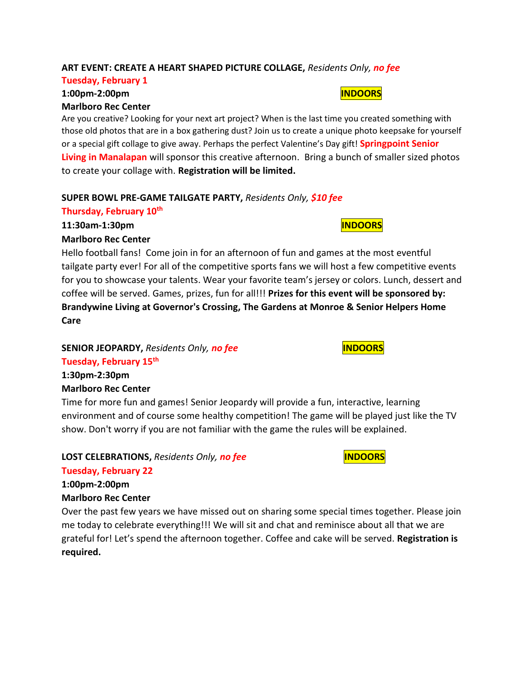### **ART EVENT: CREATE A HEART SHAPED PICTURE COLLAGE,** *Residents Only, no fee*

#### **Tuesday, February 1**

#### **1:00pm-2:00pm INDOORS Marlboro Rec Center**

Are you creative? Looking for your next art project? When is the last time you created something with those old photos that are in a box gathering dust? Join us to create a unique photo keepsake for yourself or a special gift collage to give away. Perhaps the perfect Valentine's Day gift! **Springpoint Senior Living in Manalapan** will sponsor this creative afternoon. Bring a bunch of smaller sized photos to create your collage with. **Registration will be limited.**

#### **SUPER BOWL PRE-GAME TAILGATE PARTY,** *Residents Only, \$10 fee*

### **Thursday, February 10th**

**11:30am-1:30pm INDOORS**

#### **Marlboro Rec Center**

Hello football fans! Come join in for an afternoon of fun and games at the most eventful tailgate party ever! For all of the competitive sports fans we will host a few competitive events for you to showcase your talents. Wear your favorite team's jersey or colors. Lunch, dessert and coffee will be served. Games, prizes, fun for all!!! **Prizes for this event will be sponsored by: Brandywine Living at Governor's Crossing, The Gardens at Monroe & Senior Helpers Home Care**

## **SENIOR JEOPARDY,** Residents Only, no fee **INDOORS**

## **Tuesday, February 15th**

**1:30pm-2:30pm Marlboro Rec Center**

Time for more fun and games! Senior Jeopardy will provide a fun, interactive, learning environment and of course some healthy competition! The game will be played just like the TV show. Don't worry if you are not familiar with the game the rules will be explained.

## **LOST CELEBRATIONS,** *Residents Only, no fee* **INDOORS**

# **Tuesday, February 22**

**1:00pm-2:00pm Marlboro Rec Center**

Over the past few years we have missed out on sharing some special times together. Please join me today to celebrate everything!!! We will sit and chat and reminisce about all that we are grateful for! Let's spend the afternoon together. Coffee and cake will be served. **Registration is required.**